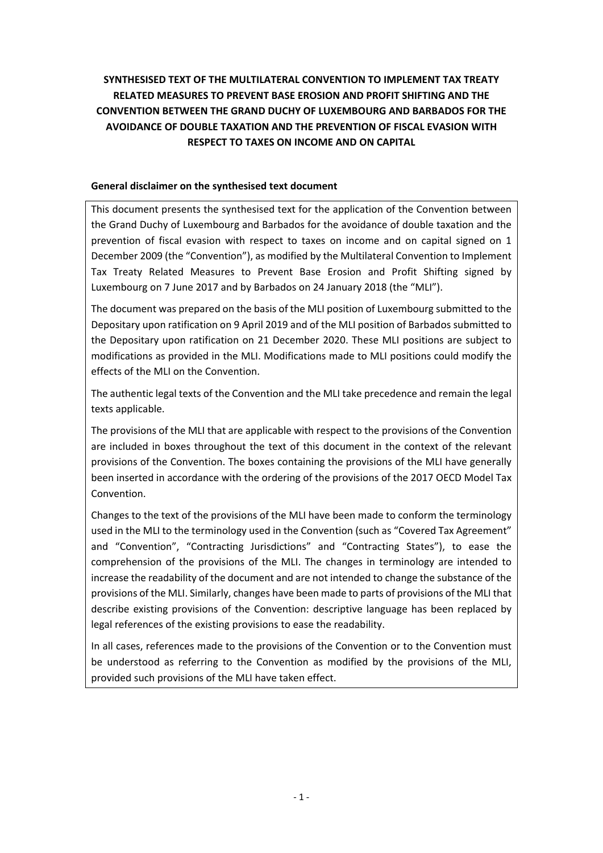# **SYNTHESISED TEXT OF THE MULTILATERAL CONVENTION TO IMPLEMENT TAX TREATY RELATED MEASURES TO PREVENT BASE EROSION AND PROFIT SHIFTING AND THE CONVENTION BETWEEN THE GRAND DUCHY OF LUXEMBOURG AND BARBADOS FOR THE AVOIDANCE OF DOUBLE TAXATION AND THE PREVENTION OF FISCAL EVASION WITH RESPECT TO TAXES ON INCOME AND ON CAPITAL**

### **General disclaimer on the synthesised text document**

This document presents the synthesised text for the application of the Convention between the Grand Duchy of Luxembourg and Barbados for the avoidance of double taxation and the prevention of fiscal evasion with respect to taxes on income and on capital signed on 1 December 2009 (the "Convention"), as modified by the Multilateral Convention to Implement Tax Treaty Related Measures to Prevent Base Erosion and Profit Shifting signed by Luxembourg on 7 June 2017 and by Barbados on 24 January 2018 (the "MLI").

The document was prepared on the basis of the MLI position of Luxembourg submitted to the Depositary upon ratification on 9 April 2019 and of the MLI position of Barbados submitted to the Depositary upon ratification on 21 December 2020. These MLI positions are subject to modifications as provided in the MLI. Modifications made to MLI positions could modify the effects of the MLI on the Convention.

The authentic legal texts of the Convention and the MLI take precedence and remain the legal texts applicable.

The provisions of the MLI that are applicable with respect to the provisions of the Convention are included in boxes throughout the text of this document in the context of the relevant provisions of the Convention. The boxes containing the provisions of the MLI have generally been inserted in accordance with the ordering of the provisions of the 2017 OECD Model Tax Convention.

Changes to the text of the provisions of the MLI have been made to conform the terminology used in the MLI to the terminology used in the Convention (such as "Covered Tax Agreement" and "Convention", "Contracting Jurisdictions" and "Contracting States"), to ease the comprehension of the provisions of the MLI. The changes in terminology are intended to increase the readability of the document and are not intended to change the substance of the provisions of the MLI. Similarly, changes have been made to parts of provisions of the MLI that describe existing provisions of the Convention: descriptive language has been replaced by legal references of the existing provisions to ease the readability.

In all cases, references made to the provisions of the Convention or to the Convention must be understood as referring to the Convention as modified by the provisions of the MLI, provided such provisions of the MLI have taken effect.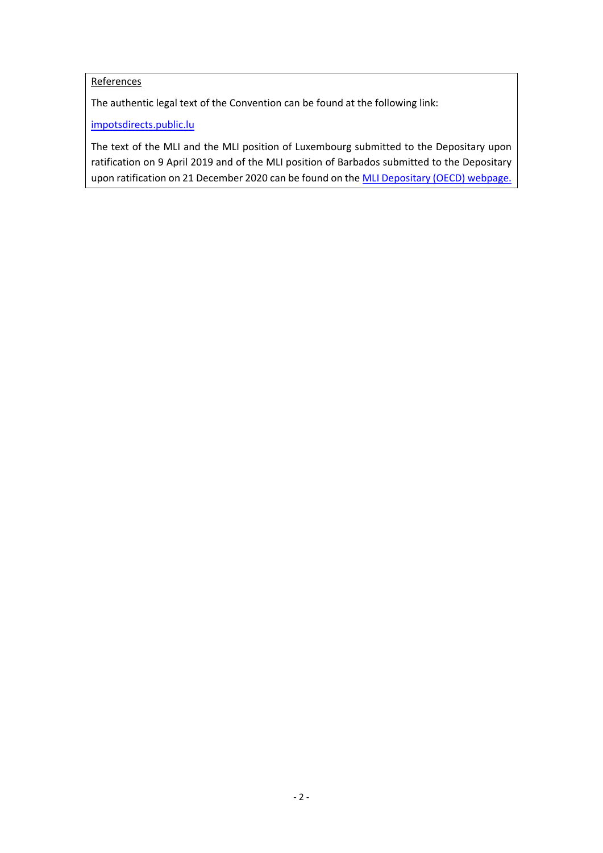# **References**

The authentic legal text of the Convention can be found at the following link:

[impotsdirects.public.lu](https://impotsdirects.public.lu/fr.html)

The text of the MLI and the MLI position of Luxembourg submitted to the Depositary upon ratification on 9 April 2019 and of the MLI position of Barbados submitted to the Depositary upon ratification on 21 December 2020 can be found on the [MLI Depositary \(OECD\) webpage.](https://www.oecd.org/tax/treaties/multilateral-convention-to-implement-tax-treaty-related-measures-to-prevent-beps.htm)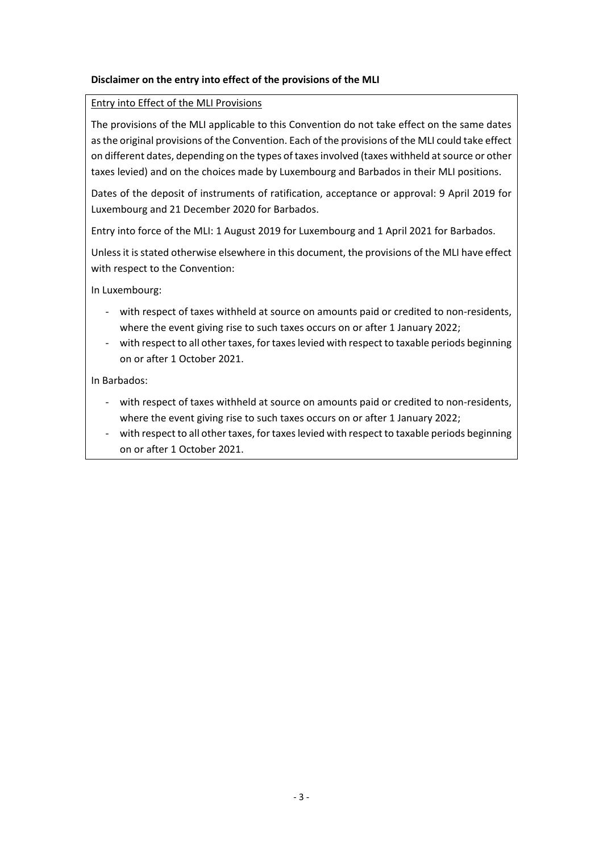# **Disclaimer on the entry into effect of the provisions of the MLI**

#### Entry into Effect of the MLI Provisions

The provisions of the MLI applicable to this Convention do not take effect on the same dates as the original provisions of the Convention. Each of the provisions of the MLI could take effect on different dates, depending on the types of taxes involved (taxes withheld at source or other taxes levied) and on the choices made by Luxembourg and Barbados in their MLI positions.

Dates of the deposit of instruments of ratification, acceptance or approval: 9 April 2019 for Luxembourg and 21 December 2020 for Barbados.

Entry into force of the MLI: 1 August 2019 for Luxembourg and 1 April 2021 for Barbados.

Unless it is stated otherwise elsewhere in this document, the provisions of the MLI have effect with respect to the Convention:

In Luxembourg:

- with respect of taxes withheld at source on amounts paid or credited to non-residents, where the event giving rise to such taxes occurs on or after 1 January 2022;
- with respect to all other taxes, for taxes levied with respect to taxable periods beginning on or after 1 October 2021.

In Barbados:

- with respect of taxes withheld at source on amounts paid or credited to non-residents, where the event giving rise to such taxes occurs on or after 1 January 2022;
- with respect to all other taxes, for taxes levied with respect to taxable periods beginning on or after 1 October 2021.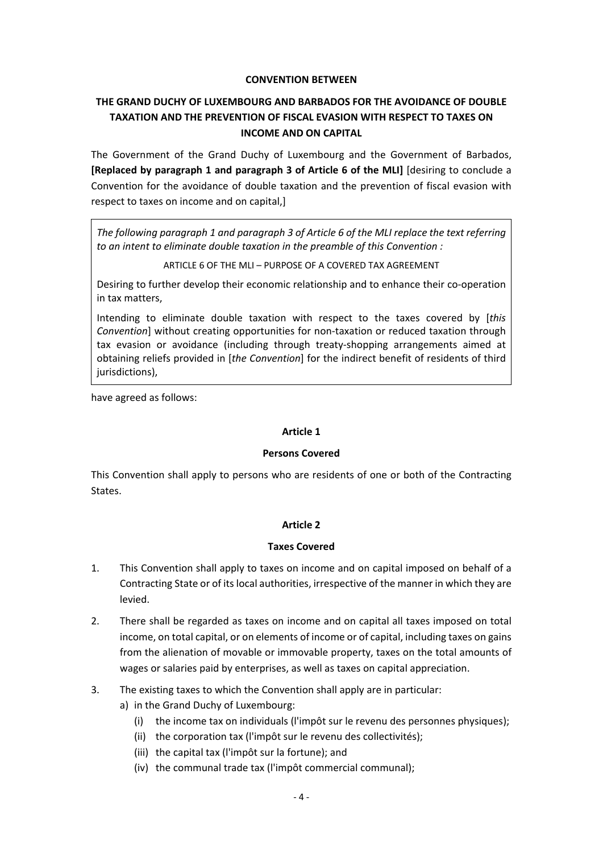### **CONVENTION BETWEEN**

# **THE GRAND DUCHY OF LUXEMBOURG AND BARBADOS FOR THE AVOIDANCE OF DOUBLE TAXATION AND THE PREVENTION OF FISCAL EVASION WITH RESPECT TO TAXES ON INCOME AND ON CAPITAL**

The Government of the Grand Duchy of Luxembourg and the Government of Barbados, **[Replaced by paragraph 1 and paragraph 3 of Article 6 of the MLI]** [desiring to conclude a Convention for the avoidance of double taxation and the prevention of fiscal evasion with respect to taxes on income and on capital,]

*The following paragraph 1 and paragraph 3 of Article 6 of the MLI replace the text referring to an intent to eliminate double taxation in the preamble of this Convention :*

ARTICLE 6 OF THE MLI – PURPOSE OF A COVERED TAX AGREEMENT

Desiring to further develop their economic relationship and to enhance their co-operation in tax matters,

Intending to eliminate double taxation with respect to the taxes covered by [*this Convention*] without creating opportunities for non-taxation or reduced taxation through tax evasion or avoidance (including through treaty-shopping arrangements aimed at obtaining reliefs provided in [*the Convention*] for the indirect benefit of residents of third jurisdictions),

have agreed as follows:

### **Article 1**

#### **Persons Covered**

This Convention shall apply to persons who are residents of one or both of the Contracting States.

# **Article 2**

#### **Taxes Covered**

- 1. This Convention shall apply to taxes on income and on capital imposed on behalf of a Contracting State or of itslocal authorities, irrespective of the manner in which they are levied.
- 2. There shall be regarded as taxes on income and on capital all taxes imposed on total income, on total capital, or on elements of income or of capital, including taxes on gains from the alienation of movable or immovable property, taxes on the total amounts of wages or salaries paid by enterprises, as well as taxes on capital appreciation.
- 3. The existing taxes to which the Convention shall apply are in particular:
	- a) in the Grand Duchy of Luxembourg:
		- (i) the income tax on individuals (l'impôt sur le revenu des personnes physiques);
		- (ii) the corporation tax (l'impôt sur le revenu des collectivités);
		- (iii) the capital tax (l'impôt sur la fortune); and
		- (iv) the communal trade tax (l'impôt commercial communal);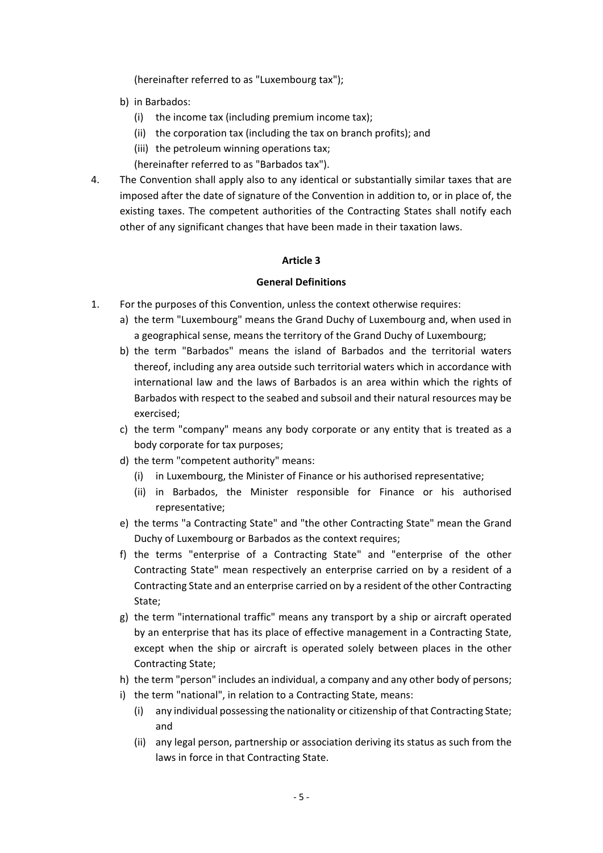(hereinafter referred to as "Luxembourg tax");

- b) in Barbados:
	- (i) the income tax (including premium income tax);
	- (ii) the corporation tax (including the tax on branch profits); and
	- (iii) the petroleum winning operations tax;
	- (hereinafter referred to as "Barbados tax").
- 4. The Convention shall apply also to any identical or substantially similar taxes that are imposed after the date of signature of the Convention in addition to, or in place of, the existing taxes. The competent authorities of the Contracting States shall notify each other of any significant changes that have been made in their taxation laws.

#### **Article 3**

### **General Definitions**

- 1. For the purposes of this Convention, unless the context otherwise requires:
	- a) the term "Luxembourg" means the Grand Duchy of Luxembourg and, when used in a geographical sense, means the territory of the Grand Duchy of Luxembourg;
	- b) the term "Barbados" means the island of Barbados and the territorial waters thereof, including any area outside such territorial waters which in accordance with international law and the laws of Barbados is an area within which the rights of Barbados with respect to the seabed and subsoil and their natural resources may be exercised;
	- c) the term "company" means any body corporate or any entity that is treated as a body corporate for tax purposes;
	- d) the term "competent authority" means:
		- (i) in Luxembourg, the Minister of Finance or his authorised representative;
		- (ii) in Barbados, the Minister responsible for Finance or his authorised representative;
	- e) the terms "a Contracting State" and "the other Contracting State" mean the Grand Duchy of Luxembourg or Barbados as the context requires;
	- f) the terms "enterprise of a Contracting State" and "enterprise of the other Contracting State" mean respectively an enterprise carried on by a resident of a Contracting State and an enterprise carried on by a resident of the other Contracting State;
	- g) the term "international traffic" means any transport by a ship or aircraft operated by an enterprise that has its place of effective management in a Contracting State, except when the ship or aircraft is operated solely between places in the other Contracting State;
	- h) the term "person" includes an individual, a company and any other body of persons;
	- i) the term "national", in relation to a Contracting State, means:
		- (i) any individual possessing the nationality or citizenship of that Contracting State; and
		- (ii) any legal person, partnership or association deriving its status as such from the laws in force in that Contracting State.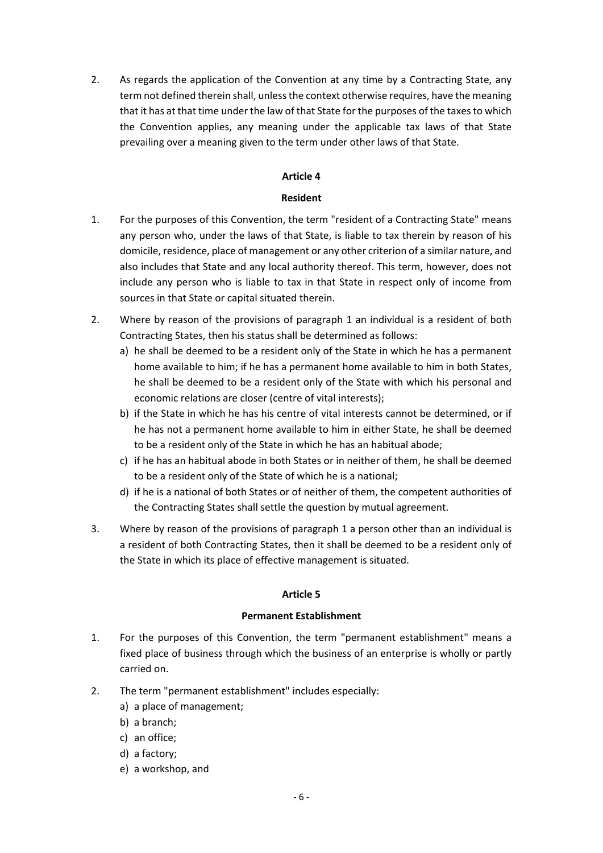2. As regards the application of the Convention at any time by a Contracting State, any term not defined therein shall, unless the context otherwise requires, have the meaning that it has at that time under the law of that State for the purposes of the taxes to which the Convention applies, any meaning under the applicable tax laws of that State prevailing over a meaning given to the term under other laws of that State.

### **Article 4**

### **Resident**

- 1. For the purposes of this Convention, the term "resident of a Contracting State" means any person who, under the laws of that State, is liable to tax therein by reason of his domicile, residence, place of management or any other criterion of a similar nature, and also includes that State and any local authority thereof. This term, however, does not include any person who is liable to tax in that State in respect only of income from sources in that State or capital situated therein.
- 2. Where by reason of the provisions of paragraph 1 an individual is a resident of both Contracting States, then his status shall be determined as follows:
	- a) he shall be deemed to be a resident only of the State in which he has a permanent home available to him; if he has a permanent home available to him in both States, he shall be deemed to be a resident only of the State with which his personal and economic relations are closer (centre of vital interests);
	- b) if the State in which he has his centre of vital interests cannot be determined, or if he has not a permanent home available to him in either State, he shall be deemed to be a resident only of the State in which he has an habitual abode;
	- c) if he has an habitual abode in both States or in neither of them, he shall be deemed to be a resident only of the State of which he is a national;
	- d) if he is a national of both States or of neither of them, the competent authorities of the Contracting States shall settle the question by mutual agreement.
- 3. Where by reason of the provisions of paragraph 1 a person other than an individual is a resident of both Contracting States, then it shall be deemed to be a resident only of the State in which its place of effective management is situated.

# **Article 5**

#### **Permanent Establishment**

- 1. For the purposes of this Convention, the term "permanent establishment" means a fixed place of business through which the business of an enterprise is wholly or partly carried on.
- 2. The term "permanent establishment" includes especially:
	- a) a place of management;
	- b) a branch;
	- c) an office;
	- d) a factory;
	- e) a workshop, and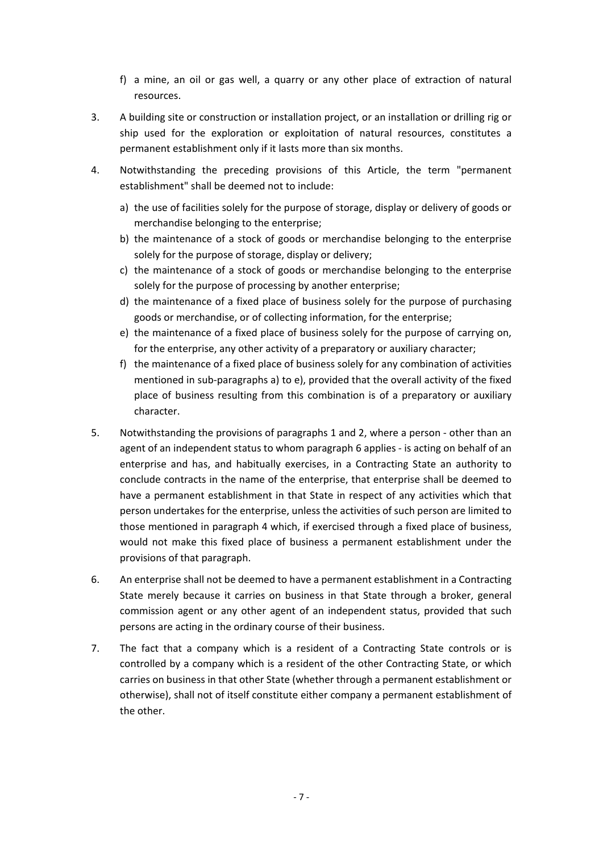- f) a mine, an oil or gas well, a quarry or any other place of extraction of natural resources.
- 3. A building site or construction or installation project, or an installation or drilling rig or ship used for the exploration or exploitation of natural resources, constitutes a permanent establishment only if it lasts more than six months.
- 4. Notwithstanding the preceding provisions of this Article, the term "permanent establishment" shall be deemed not to include:
	- a) the use of facilities solely for the purpose of storage, display or delivery of goods or merchandise belonging to the enterprise;
	- b) the maintenance of a stock of goods or merchandise belonging to the enterprise solely for the purpose of storage, display or delivery;
	- c) the maintenance of a stock of goods or merchandise belonging to the enterprise solely for the purpose of processing by another enterprise;
	- d) the maintenance of a fixed place of business solely for the purpose of purchasing goods or merchandise, or of collecting information, for the enterprise;
	- e) the maintenance of a fixed place of business solely for the purpose of carrying on, for the enterprise, any other activity of a preparatory or auxiliary character;
	- f) the maintenance of a fixed place of business solely for any combination of activities mentioned in sub-paragraphs a) to e), provided that the overall activity of the fixed place of business resulting from this combination is of a preparatory or auxiliary character.
- 5. Notwithstanding the provisions of paragraphs 1 and 2, where a person other than an agent of an independent status to whom paragraph 6 applies - is acting on behalf of an enterprise and has, and habitually exercises, in a Contracting State an authority to conclude contracts in the name of the enterprise, that enterprise shall be deemed to have a permanent establishment in that State in respect of any activities which that person undertakes for the enterprise, unless the activities of such person are limited to those mentioned in paragraph 4 which, if exercised through a fixed place of business, would not make this fixed place of business a permanent establishment under the provisions of that paragraph.
- 6. An enterprise shall not be deemed to have a permanent establishment in a Contracting State merely because it carries on business in that State through a broker, general commission agent or any other agent of an independent status, provided that such persons are acting in the ordinary course of their business.
- 7. The fact that a company which is a resident of a Contracting State controls or is controlled by a company which is a resident of the other Contracting State, or which carries on business in that other State (whether through a permanent establishment or otherwise), shall not of itself constitute either company a permanent establishment of the other.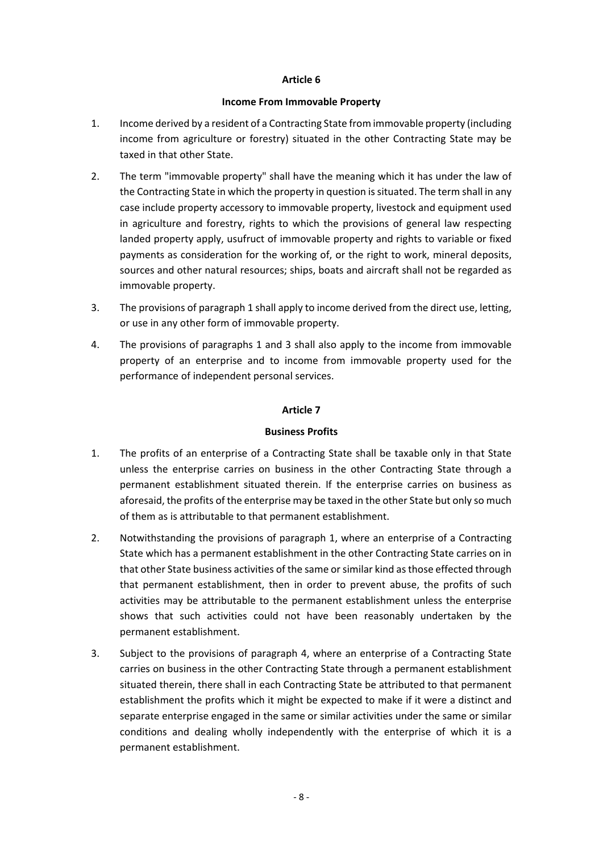### **Income From Immovable Property**

- 1. Income derived by a resident of a Contracting State from immovable property (including income from agriculture or forestry) situated in the other Contracting State may be taxed in that other State.
- 2. The term "immovable property" shall have the meaning which it has under the law of the Contracting State in which the property in question is situated. The term shall in any case include property accessory to immovable property, livestock and equipment used in agriculture and forestry, rights to which the provisions of general law respecting landed property apply, usufruct of immovable property and rights to variable or fixed payments as consideration for the working of, or the right to work, mineral deposits, sources and other natural resources; ships, boats and aircraft shall not be regarded as immovable property.
- 3. The provisions of paragraph 1 shall apply to income derived from the direct use, letting, or use in any other form of immovable property.
- 4. The provisions of paragraphs 1 and 3 shall also apply to the income from immovable property of an enterprise and to income from immovable property used for the performance of independent personal services.

# **Article 7**

# **Business Profits**

- 1. The profits of an enterprise of a Contracting State shall be taxable only in that State unless the enterprise carries on business in the other Contracting State through a permanent establishment situated therein. If the enterprise carries on business as aforesaid, the profits of the enterprise may be taxed in the other State but only so much of them as is attributable to that permanent establishment.
- 2. Notwithstanding the provisions of paragraph 1, where an enterprise of a Contracting State which has a permanent establishment in the other Contracting State carries on in that other State business activities of the same or similar kind asthose effected through that permanent establishment, then in order to prevent abuse, the profits of such activities may be attributable to the permanent establishment unless the enterprise shows that such activities could not have been reasonably undertaken by the permanent establishment.
- 3. Subject to the provisions of paragraph 4, where an enterprise of a Contracting State carries on business in the other Contracting State through a permanent establishment situated therein, there shall in each Contracting State be attributed to that permanent establishment the profits which it might be expected to make if it were a distinct and separate enterprise engaged in the same or similar activities under the same or similar conditions and dealing wholly independently with the enterprise of which it is a permanent establishment.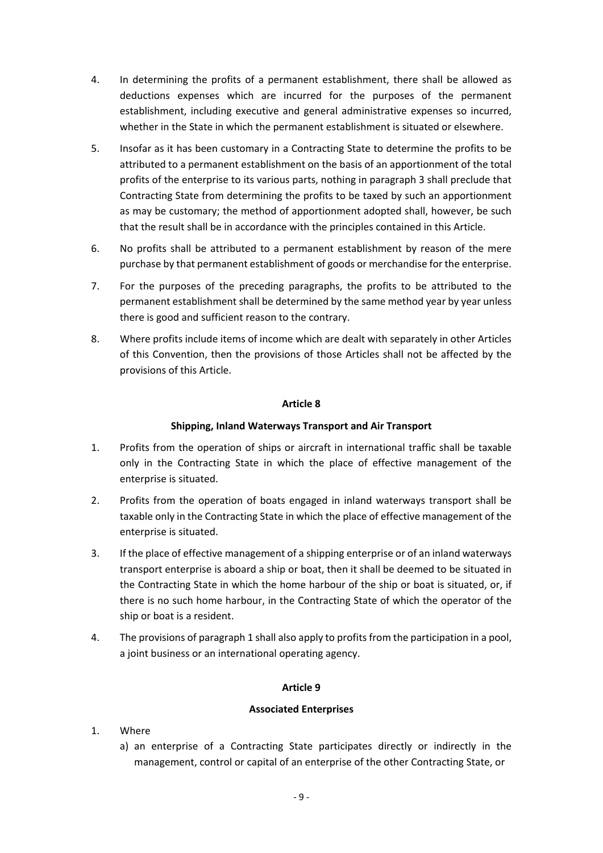- 4. In determining the profits of a permanent establishment, there shall be allowed as deductions expenses which are incurred for the purposes of the permanent establishment, including executive and general administrative expenses so incurred, whether in the State in which the permanent establishment is situated or elsewhere.
- 5. Insofar as it has been customary in a Contracting State to determine the profits to be attributed to a permanent establishment on the basis of an apportionment of the total profits of the enterprise to its various parts, nothing in paragraph 3 shall preclude that Contracting State from determining the profits to be taxed by such an apportionment as may be customary; the method of apportionment adopted shall, however, be such that the result shall be in accordance with the principles contained in this Article.
- 6. No profits shall be attributed to a permanent establishment by reason of the mere purchase by that permanent establishment of goods or merchandise for the enterprise.
- 7. For the purposes of the preceding paragraphs, the profits to be attributed to the permanent establishment shall be determined by the same method year by year unless there is good and sufficient reason to the contrary.
- 8. Where profits include items of income which are dealt with separately in other Articles of this Convention, then the provisions of those Articles shall not be affected by the provisions of this Article.

# **Shipping, Inland Waterways Transport and Air Transport**

- 1. Profits from the operation of ships or aircraft in international traffic shall be taxable only in the Contracting State in which the place of effective management of the enterprise is situated.
- 2. Profits from the operation of boats engaged in inland waterways transport shall be taxable only in the Contracting State in which the place of effective management of the enterprise is situated.
- 3. If the place of effective management of a shipping enterprise or of an inland waterways transport enterprise is aboard a ship or boat, then it shall be deemed to be situated in the Contracting State in which the home harbour of the ship or boat is situated, or, if there is no such home harbour, in the Contracting State of which the operator of the ship or boat is a resident.
- 4. The provisions of paragraph 1 shall also apply to profits from the participation in a pool, a joint business or an international operating agency.

# **Article 9**

# **Associated Enterprises**

- 1. Where
	- a) an enterprise of a Contracting State participates directly or indirectly in the management, control or capital of an enterprise of the other Contracting State, or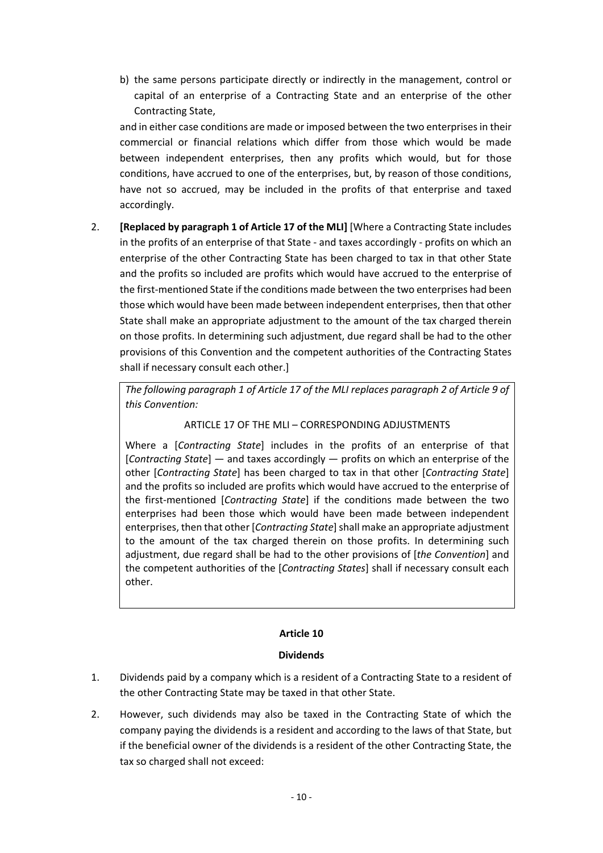b) the same persons participate directly or indirectly in the management, control or capital of an enterprise of a Contracting State and an enterprise of the other Contracting State,

and in either case conditions are made or imposed between the two enterprises in their commercial or financial relations which differ from those which would be made between independent enterprises, then any profits which would, but for those conditions, have accrued to one of the enterprises, but, by reason of those conditions, have not so accrued, may be included in the profits of that enterprise and taxed accordingly.

2. **[Replaced by paragraph 1 of Article 17 of the MLI]** [Where a Contracting State includes in the profits of an enterprise of that State - and taxes accordingly - profits on which an enterprise of the other Contracting State has been charged to tax in that other State and the profits so included are profits which would have accrued to the enterprise of the first-mentioned State if the conditions made between the two enterprises had been those which would have been made between independent enterprises, then that other State shall make an appropriate adjustment to the amount of the tax charged therein on those profits. In determining such adjustment, due regard shall be had to the other provisions of this Convention and the competent authorities of the Contracting States shall if necessary consult each other.]

*The following paragraph 1 of Article 17 of the MLI replaces paragraph 2 of Article 9 of this Convention:* 

ARTICLE 17 OF THE MLI – CORRESPONDING ADJUSTMENTS

Where a [*Contracting State*] includes in the profits of an enterprise of that [*Contracting State*] — and taxes accordingly — profits on which an enterprise of the other [*Contracting State*] has been charged to tax in that other [*Contracting State*] and the profits so included are profits which would have accrued to the enterprise of the first-mentioned [*Contracting State*] if the conditions made between the two enterprises had been those which would have been made between independent enterprises, then that other [*Contracting State*] shall make an appropriate adjustment to the amount of the tax charged therein on those profits. In determining such adjustment, due regard shall be had to the other provisions of [*the Convention*] and the competent authorities of the [*Contracting States*] shall if necessary consult each other.

# **Article 10**

#### **Dividends**

- 1. Dividends paid by a company which is a resident of a Contracting State to a resident of the other Contracting State may be taxed in that other State.
- 2. However, such dividends may also be taxed in the Contracting State of which the company paying the dividends is a resident and according to the laws of that State, but if the beneficial owner of the dividends is a resident of the other Contracting State, the tax so charged shall not exceed: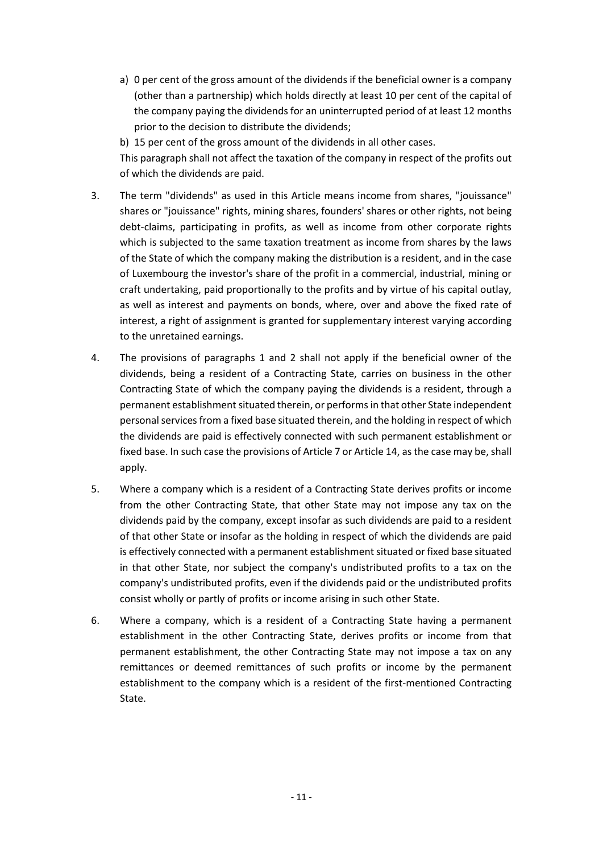- a) 0 per cent of the gross amount of the dividends if the beneficial owner is a company (other than a partnership) which holds directly at least 10 per cent of the capital of the company paying the dividends for an uninterrupted period of at least 12 months prior to the decision to distribute the dividends;
- b) 15 per cent of the gross amount of the dividends in all other cases.

This paragraph shall not affect the taxation of the company in respect of the profits out of which the dividends are paid.

- 3. The term "dividends" as used in this Article means income from shares, "jouissance" shares or "jouissance" rights, mining shares, founders' shares or other rights, not being debt-claims, participating in profits, as well as income from other corporate rights which is subjected to the same taxation treatment as income from shares by the laws of the State of which the company making the distribution is a resident, and in the case of Luxembourg the investor's share of the profit in a commercial, industrial, mining or craft undertaking, paid proportionally to the profits and by virtue of his capital outlay, as well as interest and payments on bonds, where, over and above the fixed rate of interest, a right of assignment is granted for supplementary interest varying according to the unretained earnings.
- 4. The provisions of paragraphs 1 and 2 shall not apply if the beneficial owner of the dividends, being a resident of a Contracting State, carries on business in the other Contracting State of which the company paying the dividends is a resident, through a permanent establishment situated therein, or performs in that other State independent personal services from a fixed base situated therein, and the holding in respect of which the dividends are paid is effectively connected with such permanent establishment or fixed base. In such case the provisions of Article 7 or Article 14, as the case may be, shall apply.
- 5. Where a company which is a resident of a Contracting State derives profits or income from the other Contracting State, that other State may not impose any tax on the dividends paid by the company, except insofar as such dividends are paid to a resident of that other State or insofar as the holding in respect of which the dividends are paid is effectively connected with a permanent establishment situated or fixed base situated in that other State, nor subject the company's undistributed profits to a tax on the company's undistributed profits, even if the dividends paid or the undistributed profits consist wholly or partly of profits or income arising in such other State.
- 6. Where a company, which is a resident of a Contracting State having a permanent establishment in the other Contracting State, derives profits or income from that permanent establishment, the other Contracting State may not impose a tax on any remittances or deemed remittances of such profits or income by the permanent establishment to the company which is a resident of the first-mentioned Contracting State.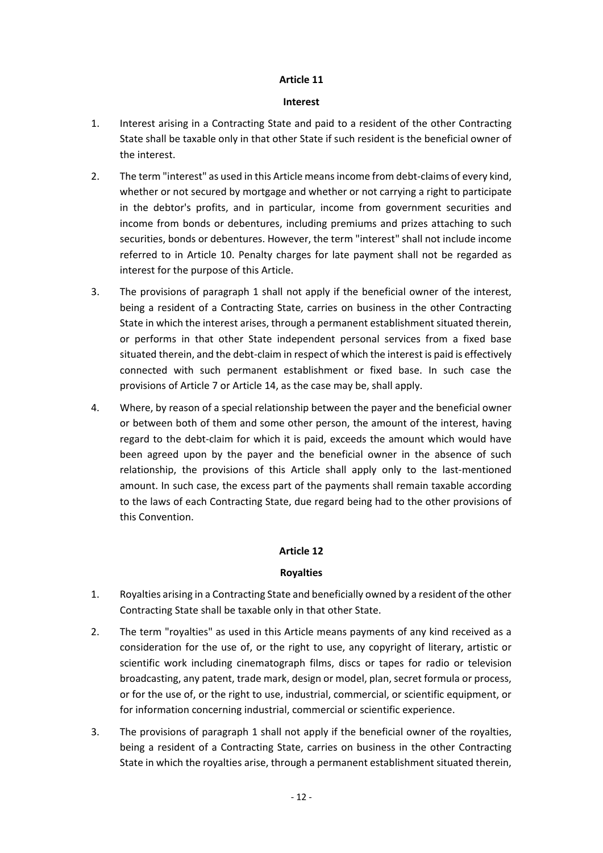#### **Interest**

- 1. Interest arising in a Contracting State and paid to a resident of the other Contracting State shall be taxable only in that other State if such resident is the beneficial owner of the interest.
- 2. The term "interest" as used in this Article means income from debt-claims of every kind, whether or not secured by mortgage and whether or not carrying a right to participate in the debtor's profits, and in particular, income from government securities and income from bonds or debentures, including premiums and prizes attaching to such securities, bonds or debentures. However, the term "interest" shall not include income referred to in Article 10. Penalty charges for late payment shall not be regarded as interest for the purpose of this Article.
- 3. The provisions of paragraph 1 shall not apply if the beneficial owner of the interest, being a resident of a Contracting State, carries on business in the other Contracting State in which the interest arises, through a permanent establishment situated therein, or performs in that other State independent personal services from a fixed base situated therein, and the debt-claim in respect of which the interest is paid is effectively connected with such permanent establishment or fixed base. In such case the provisions of Article 7 or Article 14, as the case may be, shall apply.
- 4. Where, by reason of a special relationship between the payer and the beneficial owner or between both of them and some other person, the amount of the interest, having regard to the debt-claim for which it is paid, exceeds the amount which would have been agreed upon by the payer and the beneficial owner in the absence of such relationship, the provisions of this Article shall apply only to the last-mentioned amount. In such case, the excess part of the payments shall remain taxable according to the laws of each Contracting State, due regard being had to the other provisions of this Convention.

# **Article 12**

# **Royalties**

- 1. Royalties arising in a Contracting State and beneficially owned by a resident of the other Contracting State shall be taxable only in that other State.
- 2. The term "royalties" as used in this Article means payments of any kind received as a consideration for the use of, or the right to use, any copyright of literary, artistic or scientific work including cinematograph films, discs or tapes for radio or television broadcasting, any patent, trade mark, design or model, plan, secret formula or process, or for the use of, or the right to use, industrial, commercial, or scientific equipment, or for information concerning industrial, commercial or scientific experience.
- 3. The provisions of paragraph 1 shall not apply if the beneficial owner of the royalties, being a resident of a Contracting State, carries on business in the other Contracting State in which the royalties arise, through a permanent establishment situated therein,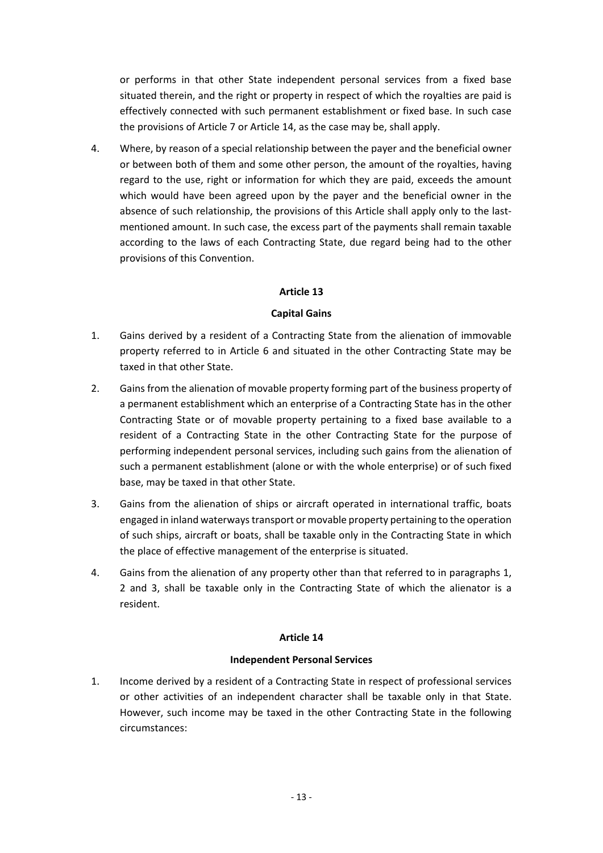or performs in that other State independent personal services from a fixed base situated therein, and the right or property in respect of which the royalties are paid is effectively connected with such permanent establishment or fixed base. In such case the provisions of Article 7 or Article 14, as the case may be, shall apply.

4. Where, by reason of a special relationship between the payer and the beneficial owner or between both of them and some other person, the amount of the royalties, having regard to the use, right or information for which they are paid, exceeds the amount which would have been agreed upon by the payer and the beneficial owner in the absence of such relationship, the provisions of this Article shall apply only to the lastmentioned amount. In such case, the excess part of the payments shall remain taxable according to the laws of each Contracting State, due regard being had to the other provisions of this Convention.

# **Article 13**

# **Capital Gains**

- 1. Gains derived by a resident of a Contracting State from the alienation of immovable property referred to in Article 6 and situated in the other Contracting State may be taxed in that other State.
- 2. Gains from the alienation of movable property forming part of the business property of a permanent establishment which an enterprise of a Contracting State has in the other Contracting State or of movable property pertaining to a fixed base available to a resident of a Contracting State in the other Contracting State for the purpose of performing independent personal services, including such gains from the alienation of such a permanent establishment (alone or with the whole enterprise) or of such fixed base, may be taxed in that other State.
- 3. Gains from the alienation of ships or aircraft operated in international traffic, boats engaged in inland waterwaystransport or movable property pertaining to the operation of such ships, aircraft or boats, shall be taxable only in the Contracting State in which the place of effective management of the enterprise is situated.
- 4. Gains from the alienation of any property other than that referred to in paragraphs 1, 2 and 3, shall be taxable only in the Contracting State of which the alienator is a resident.

# **Article 14**

# **Independent Personal Services**

1. Income derived by a resident of a Contracting State in respect of professional services or other activities of an independent character shall be taxable only in that State. However, such income may be taxed in the other Contracting State in the following circumstances: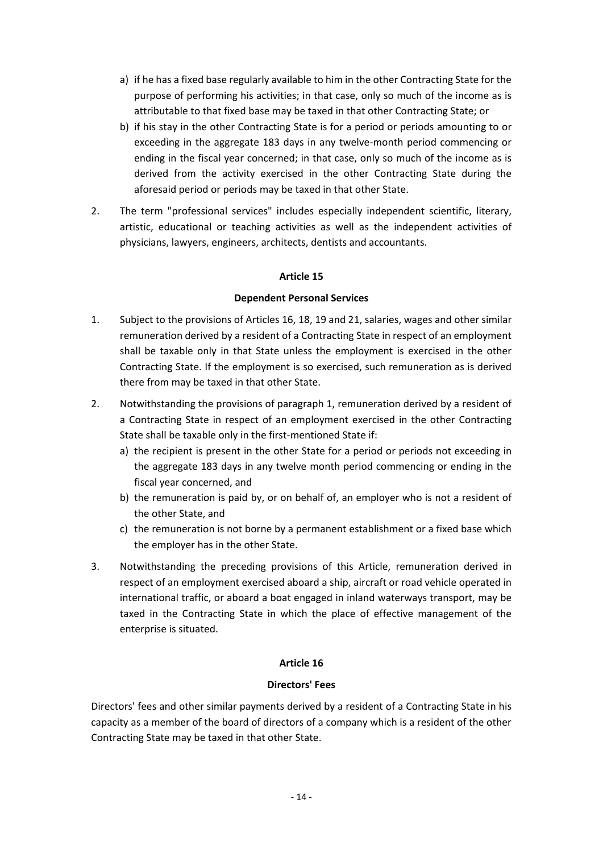- a) if he has a fixed base regularly available to him in the other Contracting State for the purpose of performing his activities; in that case, only so much of the income as is attributable to that fixed base may be taxed in that other Contracting State; or
- b) if his stay in the other Contracting State is for a period or periods amounting to or exceeding in the aggregate 183 days in any twelve-month period commencing or ending in the fiscal year concerned; in that case, only so much of the income as is derived from the activity exercised in the other Contracting State during the aforesaid period or periods may be taxed in that other State.
- 2. The term "professional services" includes especially independent scientific, literary, artistic, educational or teaching activities as well as the independent activities of physicians, lawyers, engineers, architects, dentists and accountants.

#### **Dependent Personal Services**

- 1. Subject to the provisions of Articles 16, 18, 19 and 21, salaries, wages and other similar remuneration derived by a resident of a Contracting State in respect of an employment shall be taxable only in that State unless the employment is exercised in the other Contracting State. If the employment is so exercised, such remuneration as is derived there from may be taxed in that other State.
- 2. Notwithstanding the provisions of paragraph 1, remuneration derived by a resident of a Contracting State in respect of an employment exercised in the other Contracting State shall be taxable only in the first-mentioned State if:
	- a) the recipient is present in the other State for a period or periods not exceeding in the aggregate 183 days in any twelve month period commencing or ending in the fiscal year concerned, and
	- b) the remuneration is paid by, or on behalf of, an employer who is not a resident of the other State, and
	- c) the remuneration is not borne by a permanent establishment or a fixed base which the employer has in the other State.
- 3. Notwithstanding the preceding provisions of this Article, remuneration derived in respect of an employment exercised aboard a ship, aircraft or road vehicle operated in international traffic, or aboard a boat engaged in inland waterways transport, may be taxed in the Contracting State in which the place of effective management of the enterprise is situated.

#### **Article 16**

### **Directors' Fees**

Directors' fees and other similar payments derived by a resident of a Contracting State in his capacity as a member of the board of directors of a company which is a resident of the other Contracting State may be taxed in that other State.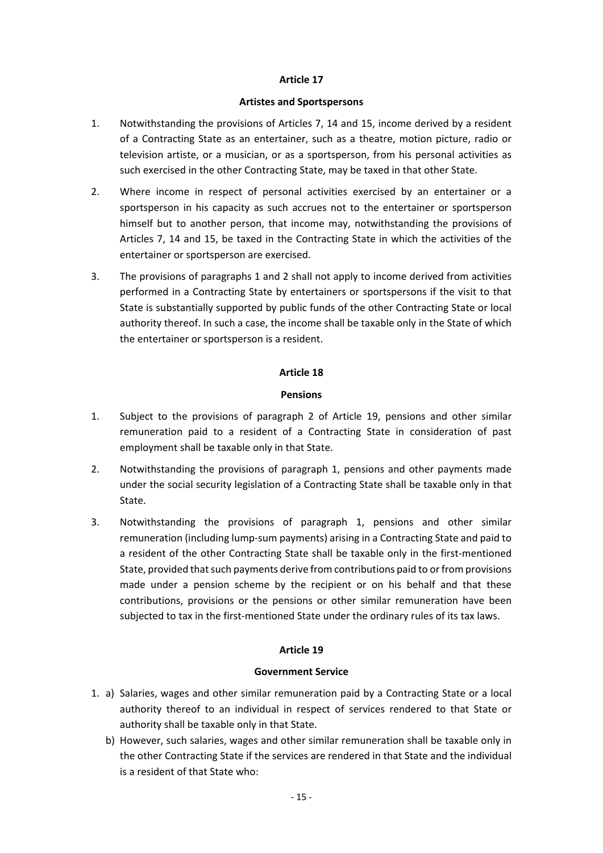#### **Artistes and Sportspersons**

- 1. Notwithstanding the provisions of Articles 7, 14 and 15, income derived by a resident of a Contracting State as an entertainer, such as a theatre, motion picture, radio or television artiste, or a musician, or as a sportsperson, from his personal activities as such exercised in the other Contracting State, may be taxed in that other State.
- 2. Where income in respect of personal activities exercised by an entertainer or a sportsperson in his capacity as such accrues not to the entertainer or sportsperson himself but to another person, that income may, notwithstanding the provisions of Articles 7, 14 and 15, be taxed in the Contracting State in which the activities of the entertainer or sportsperson are exercised.
- 3. The provisions of paragraphs 1 and 2 shall not apply to income derived from activities performed in a Contracting State by entertainers or sportspersons if the visit to that State is substantially supported by public funds of the other Contracting State or local authority thereof. In such a case, the income shall be taxable only in the State of which the entertainer or sportsperson is a resident.

#### **Article 18**

#### **Pensions**

- 1. Subject to the provisions of paragraph 2 of Article 19, pensions and other similar remuneration paid to a resident of a Contracting State in consideration of past employment shall be taxable only in that State.
- 2. Notwithstanding the provisions of paragraph 1, pensions and other payments made under the social security legislation of a Contracting State shall be taxable only in that State.
- 3. Notwithstanding the provisions of paragraph 1, pensions and other similar remuneration (including lump-sum payments) arising in a Contracting State and paid to a resident of the other Contracting State shall be taxable only in the first-mentioned State, provided that such payments derive from contributions paid to or from provisions made under a pension scheme by the recipient or on his behalf and that these contributions, provisions or the pensions or other similar remuneration have been subjected to tax in the first-mentioned State under the ordinary rules of its tax laws.

### **Article 19**

#### **Government Service**

- 1. a) Salaries, wages and other similar remuneration paid by a Contracting State or a local authority thereof to an individual in respect of services rendered to that State or authority shall be taxable only in that State.
	- b) However, such salaries, wages and other similar remuneration shall be taxable only in the other Contracting State if the services are rendered in that State and the individual is a resident of that State who: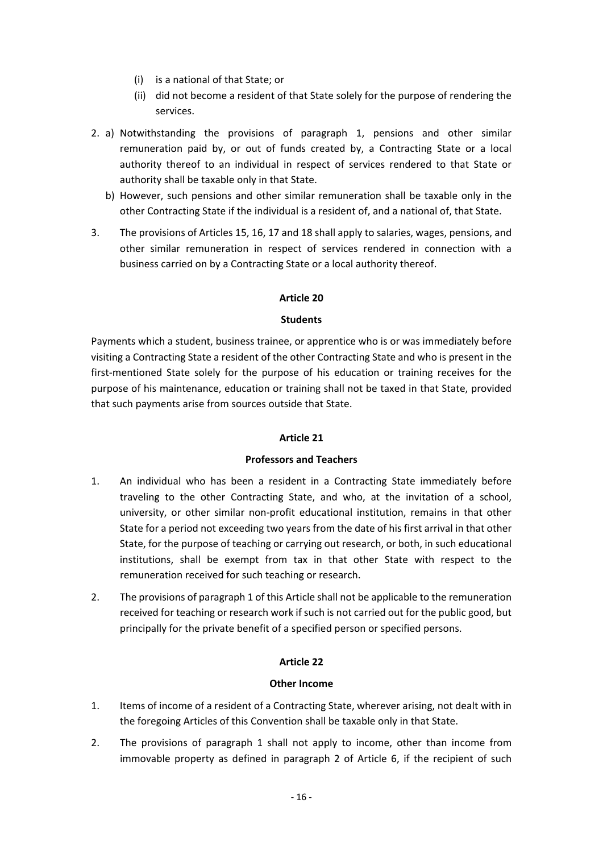- (i) is a national of that State; or
- (ii) did not become a resident of that State solely for the purpose of rendering the services.
- 2. a) Notwithstanding the provisions of paragraph 1, pensions and other similar remuneration paid by, or out of funds created by, a Contracting State or a local authority thereof to an individual in respect of services rendered to that State or authority shall be taxable only in that State.
	- b) However, such pensions and other similar remuneration shall be taxable only in the other Contracting State if the individual is a resident of, and a national of, that State.
- 3. The provisions of Articles 15, 16, 17 and 18 shall apply to salaries, wages, pensions, and other similar remuneration in respect of services rendered in connection with a business carried on by a Contracting State or a local authority thereof.

### **Students**

Payments which a student, business trainee, or apprentice who is or was immediately before visiting a Contracting State a resident of the other Contracting State and who is present in the first-mentioned State solely for the purpose of his education or training receives for the purpose of his maintenance, education or training shall not be taxed in that State, provided that such payments arise from sources outside that State.

# **Article 21**

#### **Professors and Teachers**

- 1. An individual who has been a resident in a Contracting State immediately before traveling to the other Contracting State, and who, at the invitation of a school, university, or other similar non-profit educational institution, remains in that other State for a period not exceeding two years from the date of his first arrival in that other State, for the purpose of teaching or carrying out research, or both, in such educational institutions, shall be exempt from tax in that other State with respect to the remuneration received for such teaching or research.
- 2. The provisions of paragraph 1 of this Article shall not be applicable to the remuneration received for teaching or research work if such is not carried out for the public good, but principally for the private benefit of a specified person or specified persons.

# **Article 22**

### **Other Income**

- 1. Items of income of a resident of a Contracting State, wherever arising, not dealt with in the foregoing Articles of this Convention shall be taxable only in that State.
- 2. The provisions of paragraph 1 shall not apply to income, other than income from immovable property as defined in paragraph 2 of Article 6, if the recipient of such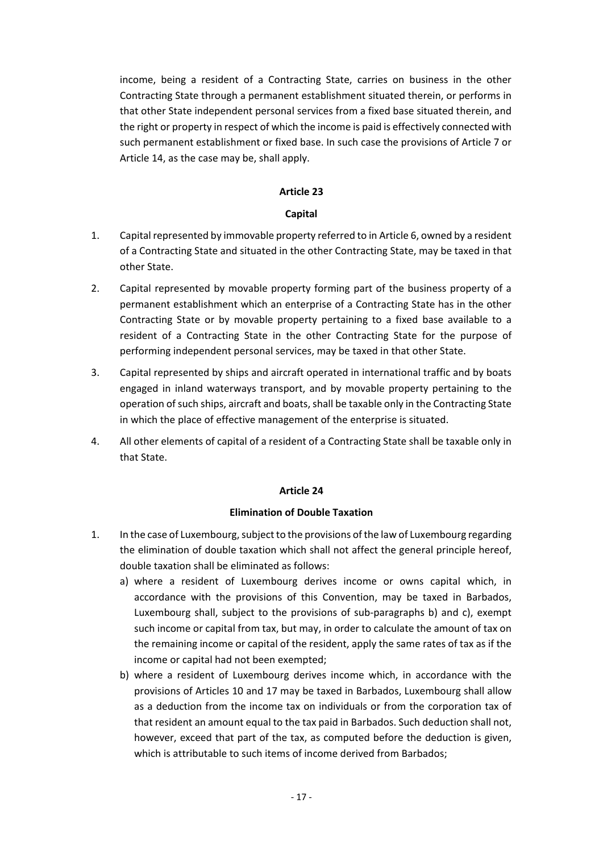income, being a resident of a Contracting State, carries on business in the other Contracting State through a permanent establishment situated therein, or performs in that other State independent personal services from a fixed base situated therein, and the right or property in respect of which the income is paid is effectively connected with such permanent establishment or fixed base. In such case the provisions of Article 7 or Article 14, as the case may be, shall apply.

# **Article 23**

# **Capital**

- 1. Capital represented by immovable property referred to in Article 6, owned by a resident of a Contracting State and situated in the other Contracting State, may be taxed in that other State.
- 2. Capital represented by movable property forming part of the business property of a permanent establishment which an enterprise of a Contracting State has in the other Contracting State or by movable property pertaining to a fixed base available to a resident of a Contracting State in the other Contracting State for the purpose of performing independent personal services, may be taxed in that other State.
- 3. Capital represented by ships and aircraft operated in international traffic and by boats engaged in inland waterways transport, and by movable property pertaining to the operation of such ships, aircraft and boats, shall be taxable only in the Contracting State in which the place of effective management of the enterprise is situated.
- 4. All other elements of capital of a resident of a Contracting State shall be taxable only in that State.

#### **Article 24**

# **Elimination of Double Taxation**

- 1. In the case of Luxembourg, subject to the provisions of the law of Luxembourg regarding the elimination of double taxation which shall not affect the general principle hereof, double taxation shall be eliminated as follows:
	- a) where a resident of Luxembourg derives income or owns capital which, in accordance with the provisions of this Convention, may be taxed in Barbados, Luxembourg shall, subject to the provisions of sub-paragraphs b) and c), exempt such income or capital from tax, but may, in order to calculate the amount of tax on the remaining income or capital of the resident, apply the same rates of tax as if the income or capital had not been exempted;
	- b) where a resident of Luxembourg derives income which, in accordance with the provisions of Articles 10 and 17 may be taxed in Barbados, Luxembourg shall allow as a deduction from the income tax on individuals or from the corporation tax of that resident an amount equal to the tax paid in Barbados. Such deduction shall not, however, exceed that part of the tax, as computed before the deduction is given, which is attributable to such items of income derived from Barbados;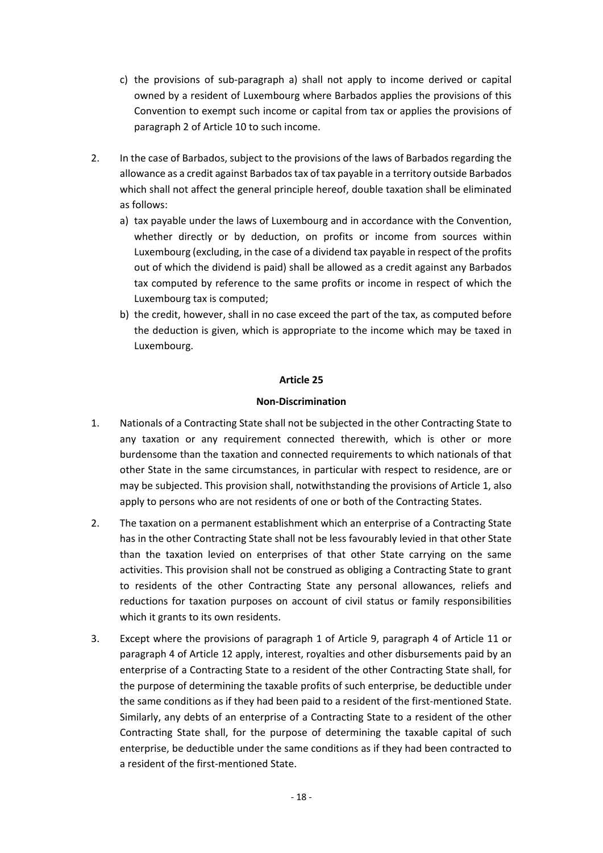- c) the provisions of sub-paragraph a) shall not apply to income derived or capital owned by a resident of Luxembourg where Barbados applies the provisions of this Convention to exempt such income or capital from tax or applies the provisions of paragraph 2 of Article 10 to such income.
- 2. In the case of Barbados, subject to the provisions of the laws of Barbados regarding the allowance as a credit against Barbados tax of tax payable in a territory outside Barbados which shall not affect the general principle hereof, double taxation shall be eliminated as follows:
	- a) tax payable under the laws of Luxembourg and in accordance with the Convention, whether directly or by deduction, on profits or income from sources within Luxembourg (excluding, in the case of a dividend tax payable in respect of the profits out of which the dividend is paid) shall be allowed as a credit against any Barbados tax computed by reference to the same profits or income in respect of which the Luxembourg tax is computed;
	- b) the credit, however, shall in no case exceed the part of the tax, as computed before the deduction is given, which is appropriate to the income which may be taxed in Luxembourg.

### **Non-Discrimination**

- 1. Nationals of a Contracting State shall not be subjected in the other Contracting State to any taxation or any requirement connected therewith, which is other or more burdensome than the taxation and connected requirements to which nationals of that other State in the same circumstances, in particular with respect to residence, are or may be subjected. This provision shall, notwithstanding the provisions of Article 1, also apply to persons who are not residents of one or both of the Contracting States.
- 2. The taxation on a permanent establishment which an enterprise of a Contracting State has in the other Contracting State shall not be less favourably levied in that other State than the taxation levied on enterprises of that other State carrying on the same activities. This provision shall not be construed as obliging a Contracting State to grant to residents of the other Contracting State any personal allowances, reliefs and reductions for taxation purposes on account of civil status or family responsibilities which it grants to its own residents.
- 3. Except where the provisions of paragraph 1 of Article 9, paragraph 4 of Article 11 or paragraph 4 of Article 12 apply, interest, royalties and other disbursements paid by an enterprise of a Contracting State to a resident of the other Contracting State shall, for the purpose of determining the taxable profits of such enterprise, be deductible under the same conditions as if they had been paid to a resident of the first-mentioned State. Similarly, any debts of an enterprise of a Contracting State to a resident of the other Contracting State shall, for the purpose of determining the taxable capital of such enterprise, be deductible under the same conditions as if they had been contracted to a resident of the first-mentioned State.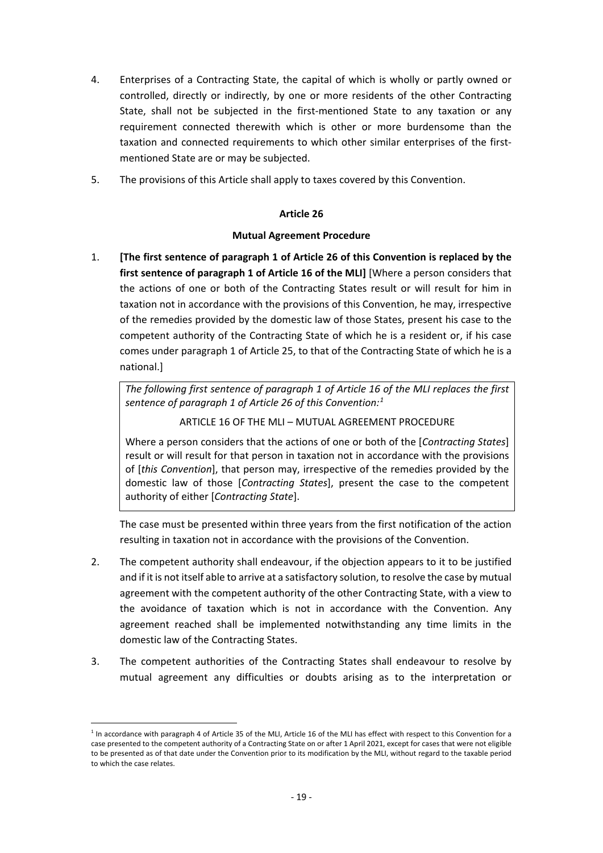- 4. Enterprises of a Contracting State, the capital of which is wholly or partly owned or controlled, directly or indirectly, by one or more residents of the other Contracting State, shall not be subjected in the first-mentioned State to any taxation or any requirement connected therewith which is other or more burdensome than the taxation and connected requirements to which other similar enterprises of the firstmentioned State are or may be subjected.
- 5. The provisions of this Article shall apply to taxes covered by this Convention.

### **Mutual Agreement Procedure**

1. **[The first sentence of paragraph 1 of Article 26 of this Convention is replaced by the first sentence of paragraph 1 of Article 16 of the MLI]** [Where a person considers that the actions of one or both of the Contracting States result or will result for him in taxation not in accordance with the provisions of this Convention, he may, irrespective of the remedies provided by the domestic law of those States, present his case to the competent authority of the Contracting State of which he is a resident or, if his case comes under paragraph 1 of Article 25, to that of the Contracting State of which he is a national.]

*The following first sentence of paragraph 1 of Article 16 of the MLI replaces the first sentence of paragraph 1 of Article 26 of this Convention:[1](#page-18-0)*

ARTICLE 16 OF THE MLI – MUTUAL AGREEMENT PROCEDURE

Where a person considers that the actions of one or both of the [*Contracting States*] result or will result for that person in taxation not in accordance with the provisions of [*this Convention*], that person may, irrespective of the remedies provided by the domestic law of those [*Contracting States*], present the case to the competent authority of either [*Contracting State*].

The case must be presented within three years from the first notification of the action resulting in taxation not in accordance with the provisions of the Convention.

- 2. The competent authority shall endeavour, if the objection appears to it to be justified and if it is not itself able to arrive at a satisfactory solution, to resolve the case by mutual agreement with the competent authority of the other Contracting State, with a view to the avoidance of taxation which is not in accordance with the Convention. Any agreement reached shall be implemented notwithstanding any time limits in the domestic law of the Contracting States.
- 3. The competent authorities of the Contracting States shall endeavour to resolve by mutual agreement any difficulties or doubts arising as to the interpretation or

<span id="page-18-0"></span><sup>-</sup> $1$  In accordance with paragraph 4 of Article 35 of the MLI, Article 16 of the MLI has effect with respect to this Convention for a case presented to the competent authority of a Contracting State on or after 1 April 2021, except for cases that were not eligible to be presented as of that date under the Convention prior to its modification by the MLI, without regard to the taxable period to which the case relates.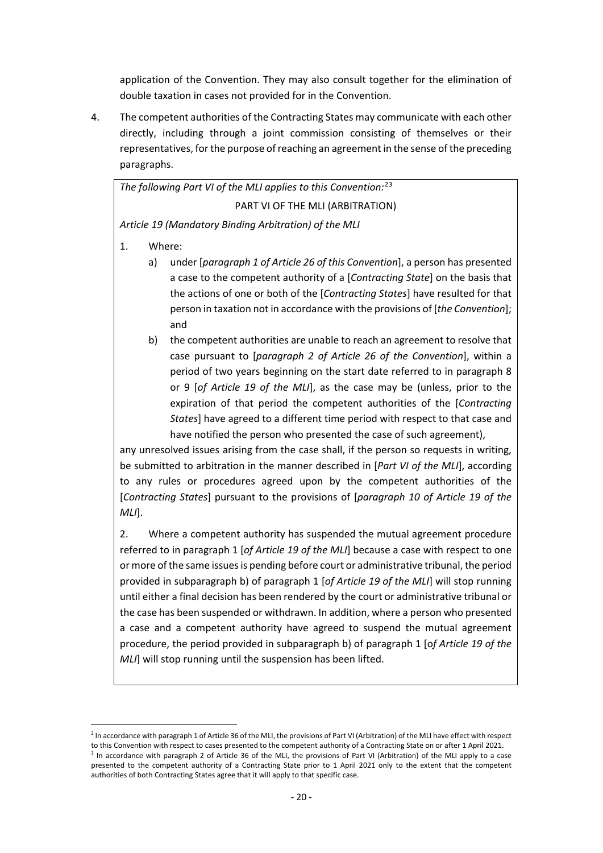application of the Convention. They may also consult together for the elimination of double taxation in cases not provided for in the Convention.

4. The competent authorities of the Contracting States may communicate with each other directly, including through a joint commission consisting of themselves or their representatives, for the purpose of reaching an agreement in the sense of the preceding paragraphs.

*The following Part VI of the MLI applies to this Convention:* [2](#page-19-0)[3](#page-19-1) PART VI OF THE MLI (ARBITRATION)

*Article 19 (Mandatory Binding Arbitration) of the MLI* 

1. Where:

<u>.</u>

- a) under [*paragraph 1 of Article 26 of this Convention*], a person has presented a case to the competent authority of a [*Contracting State*] on the basis that the actions of one or both of the [*Contracting States*] have resulted for that person in taxation not in accordance with the provisions of [*the Convention*]; and
- b) the competent authorities are unable to reach an agreement to resolve that case pursuant to [*paragraph 2 of Article 26 of the Convention*], within a period of two years beginning on the start date referred to in paragraph 8 or 9 [*of Article 19 of the MLI*], as the case may be (unless, prior to the expiration of that period the competent authorities of the [*Contracting States*] have agreed to a different time period with respect to that case and have notified the person who presented the case of such agreement),

any unresolved issues arising from the case shall, if the person so requests in writing, be submitted to arbitration in the manner described in [*Part VI of the MLI*], according to any rules or procedures agreed upon by the competent authorities of the [*Contracting States*] pursuant to the provisions of [*paragraph 10 of Article 19 of the MLI*].

2. Where a competent authority has suspended the mutual agreement procedure referred to in paragraph 1 [*of Article 19 of the MLI*] because a case with respect to one or more of the same issues is pending before court or administrative tribunal, the period provided in subparagraph b) of paragraph 1 [*of Article 19 of the MLI*] will stop running until either a final decision has been rendered by the court or administrative tribunal or the case has been suspended or withdrawn. In addition, where a person who presented a case and a competent authority have agreed to suspend the mutual agreement procedure, the period provided in subparagraph b) of paragraph 1 [o*f Article 19 of the MLI*] will stop running until the suspension has been lifted.

<span id="page-19-1"></span><span id="page-19-0"></span><sup>&</sup>lt;sup>2</sup> In accordance with paragraph 1 of Article 36 of the MLI, the provisions of Part VI (Arbitration) of the MLI have effect with respect to this Convention with respect to cases presented to the competent authority of a Contracting State on or after 1 April 2021. <sup>3</sup> In accordance with paragraph 2 of Article 36 of the MLI, the provisions of Part VI (Arbitration) of the MLI apply to a case presented to the competent authority of a Contracting State prior to 1 April 2021 only to the extent that the competent authorities of both Contracting States agree that it will apply to that specific case.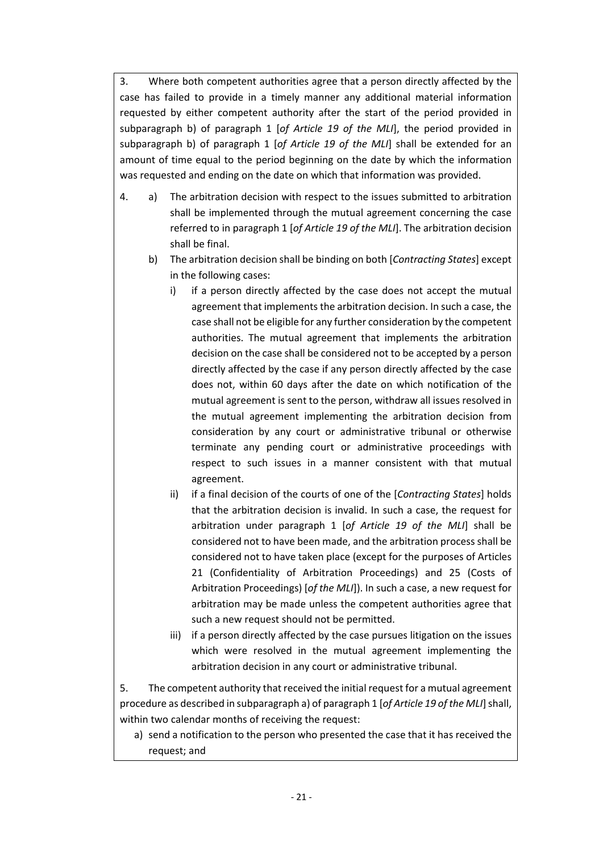3. Where both competent authorities agree that a person directly affected by the case has failed to provide in a timely manner any additional material information requested by either competent authority after the start of the period provided in subparagraph b) of paragraph 1 [*of Article 19 of the MLI*], the period provided in subparagraph b) of paragraph 1 [*of Article 19 of the MLI*] shall be extended for an amount of time equal to the period beginning on the date by which the information was requested and ending on the date on which that information was provided.

- 4. a) The arbitration decision with respect to the issues submitted to arbitration shall be implemented through the mutual agreement concerning the case referred to in paragraph 1 [*of Article 19 of the MLI*]. The arbitration decision shall be final.
	- b) The arbitration decision shall be binding on both [*Contracting States*] except in the following cases:
		- i) if a person directly affected by the case does not accept the mutual agreement that implements the arbitration decision. In such a case, the case shall not be eligible for any further consideration by the competent authorities. The mutual agreement that implements the arbitration decision on the case shall be considered not to be accepted by a person directly affected by the case if any person directly affected by the case does not, within 60 days after the date on which notification of the mutual agreement is sent to the person, withdraw all issues resolved in the mutual agreement implementing the arbitration decision from consideration by any court or administrative tribunal or otherwise terminate any pending court or administrative proceedings with respect to such issues in a manner consistent with that mutual agreement.
		- ii) if a final decision of the courts of one of the [*Contracting States*] holds that the arbitration decision is invalid. In such a case, the request for arbitration under paragraph 1 [*of Article 19 of the MLI*] shall be considered not to have been made, and the arbitration process shall be considered not to have taken place (except for the purposes of Articles 21 (Confidentiality of Arbitration Proceedings) and 25 (Costs of Arbitration Proceedings) [*of the MLI*]). In such a case, a new request for arbitration may be made unless the competent authorities agree that such a new request should not be permitted.
		- iii) if a person directly affected by the case pursues litigation on the issues which were resolved in the mutual agreement implementing the arbitration decision in any court or administrative tribunal.

5. The competent authority that received the initial request for a mutual agreement procedure as described in subparagraph a) of paragraph 1 [*of Article 19 of the MLI*] shall, within two calendar months of receiving the request:

a) send a notification to the person who presented the case that it has received the request; and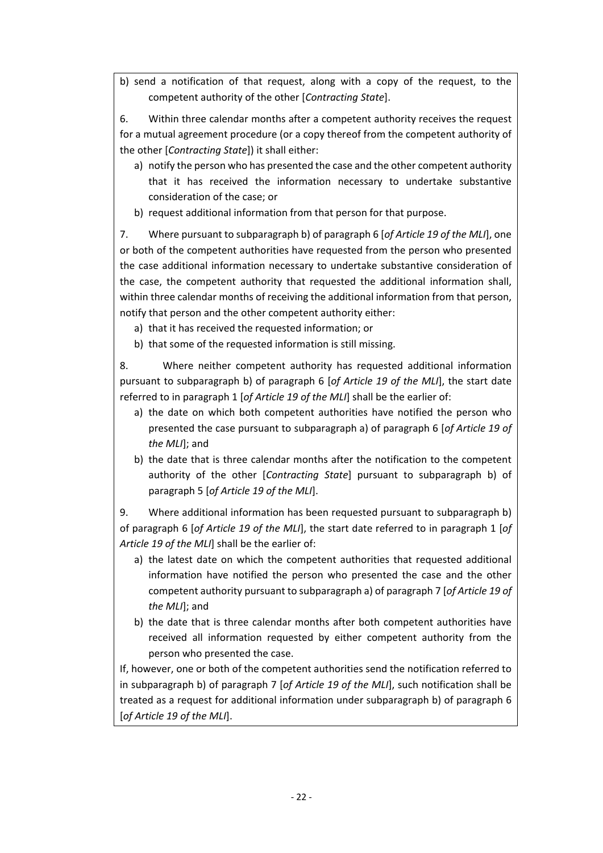b) send a notification of that request, along with a copy of the request, to the competent authority of the other [*Contracting State*].

6. Within three calendar months after a competent authority receives the request for a mutual agreement procedure (or a copy thereof from the competent authority of the other [*Contracting State*]) it shall either:

- a) notify the person who has presented the case and the other competent authority that it has received the information necessary to undertake substantive consideration of the case; or
- b) request additional information from that person for that purpose.

7. Where pursuant to subparagraph b) of paragraph 6 [*of Article 19 of the MLI*], one or both of the competent authorities have requested from the person who presented the case additional information necessary to undertake substantive consideration of the case, the competent authority that requested the additional information shall, within three calendar months of receiving the additional information from that person, notify that person and the other competent authority either:

- a) that it has received the requested information; or
- b) that some of the requested information is still missing.

8. Where neither competent authority has requested additional information pursuant to subparagraph b) of paragraph 6 [*of Article 19 of the MLI*], the start date referred to in paragraph 1 [*of Article 19 of the MLI*] shall be the earlier of:

- a) the date on which both competent authorities have notified the person who presented the case pursuant to subparagraph a) of paragraph 6 [*of Article 19 of the MLI*]; and
- b) the date that is three calendar months after the notification to the competent authority of the other [*Contracting State*] pursuant to subparagraph b) of paragraph 5 [*of Article 19 of the MLI*].

9. Where additional information has been requested pursuant to subparagraph b) of paragraph 6 [*of Article 19 of the MLI*], the start date referred to in paragraph 1 [*of Article 19 of the MLI*] shall be the earlier of:

- a) the latest date on which the competent authorities that requested additional information have notified the person who presented the case and the other competent authority pursuant to subparagraph a) of paragraph 7 [*of Article 19 of the MLI*]; and
- b) the date that is three calendar months after both competent authorities have received all information requested by either competent authority from the person who presented the case.

If, however, one or both of the competent authorities send the notification referred to in subparagraph b) of paragraph 7 [*of Article 19 of the MLI*], such notification shall be treated as a request for additional information under subparagraph b) of paragraph 6 [*of Article 19 of the MLI*].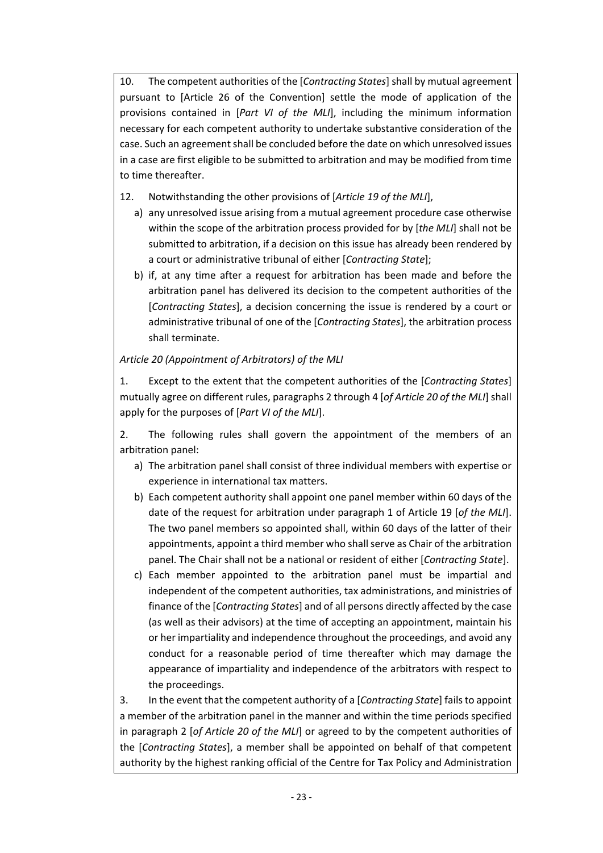10. The competent authorities of the [*Contracting States*] shall by mutual agreement pursuant to [Article 26 of the Convention] settle the mode of application of the provisions contained in [*Part VI of the MLI*], including the minimum information necessary for each competent authority to undertake substantive consideration of the case. Such an agreement shall be concluded before the date on which unresolved issues in a case are first eligible to be submitted to arbitration and may be modified from time to time thereafter.

12. Notwithstanding the other provisions of [*Article 19 of the MLI*],

- a) any unresolved issue arising from a mutual agreement procedure case otherwise within the scope of the arbitration process provided for by [*the MLI*] shall not be submitted to arbitration, if a decision on this issue has already been rendered by a court or administrative tribunal of either [*Contracting State*];
- b) if, at any time after a request for arbitration has been made and before the arbitration panel has delivered its decision to the competent authorities of the [*Contracting States*], a decision concerning the issue is rendered by a court or administrative tribunal of one of the [*Contracting States*], the arbitration process shall terminate.

*Article 20 (Appointment of Arbitrators) of the MLI* 

1. Except to the extent that the competent authorities of the [*Contracting States*] mutually agree on different rules, paragraphs 2 through 4 [*of Article 20 of the MLI*] shall apply for the purposes of [*Part VI of the MLI*].

2. The following rules shall govern the appointment of the members of an arbitration panel:

- a) The arbitration panel shall consist of three individual members with expertise or experience in international tax matters.
- b) Each competent authority shall appoint one panel member within 60 days of the date of the request for arbitration under paragraph 1 of Article 19 [*of the MLI*]. The two panel members so appointed shall, within 60 days of the latter of their appointments, appoint a third member who shall serve as Chair of the arbitration panel. The Chair shall not be a national or resident of either [*Contracting State*].
- c) Each member appointed to the arbitration panel must be impartial and independent of the competent authorities, tax administrations, and ministries of finance of the [*Contracting States*] and of all persons directly affected by the case (as well as their advisors) at the time of accepting an appointment, maintain his or her impartiality and independence throughout the proceedings, and avoid any conduct for a reasonable period of time thereafter which may damage the appearance of impartiality and independence of the arbitrators with respect to the proceedings.

3. In the event that the competent authority of a [*Contracting State*] fails to appoint a member of the arbitration panel in the manner and within the time periods specified in paragraph 2 [*of Article 20 of the MLI*] or agreed to by the competent authorities of the [*Contracting States*], a member shall be appointed on behalf of that competent authority by the highest ranking official of the Centre for Tax Policy and Administration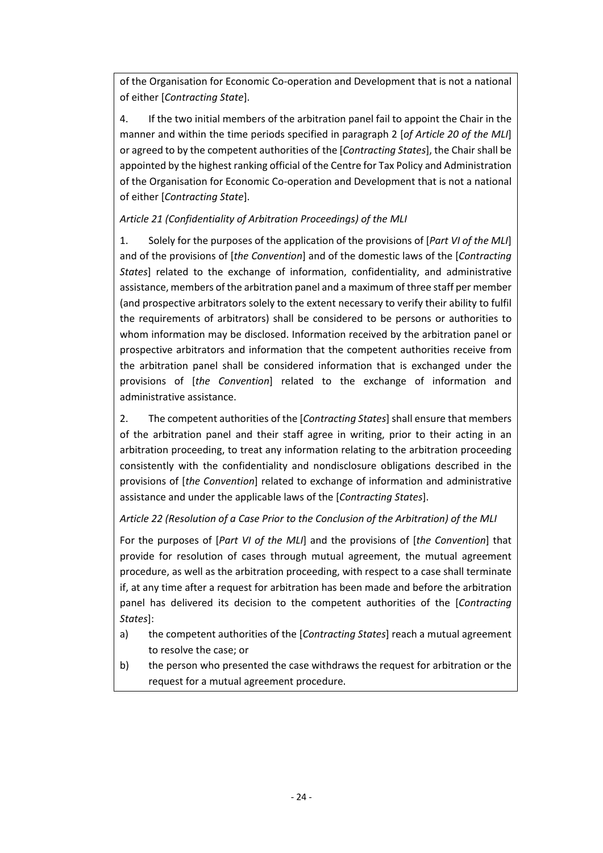of the Organisation for Economic Co-operation and Development that is not a national of either [*Contracting State*].

4. If the two initial members of the arbitration panel fail to appoint the Chair in the manner and within the time periods specified in paragraph 2 [*of Article 20 of the MLI*] or agreed to by the competent authorities of the [*Contracting States*], the Chair shall be appointed by the highest ranking official of the Centre for Tax Policy and Administration of the Organisation for Economic Co-operation and Development that is not a national of either [*Contracting State*].

*Article 21 (Confidentiality of Arbitration Proceedings) of the MLI*

1. Solely for the purposes of the application of the provisions of [*Part VI of the MLI*] and of the provisions of [*the Convention*] and of the domestic laws of the [*Contracting States*] related to the exchange of information, confidentiality, and administrative assistance, members of the arbitration panel and a maximum of three staff per member (and prospective arbitrators solely to the extent necessary to verify their ability to fulfil the requirements of arbitrators) shall be considered to be persons or authorities to whom information may be disclosed. Information received by the arbitration panel or prospective arbitrators and information that the competent authorities receive from the arbitration panel shall be considered information that is exchanged under the provisions of [*the Convention*] related to the exchange of information and administrative assistance.

2. The competent authorities of the [*Contracting States*] shall ensure that members of the arbitration panel and their staff agree in writing, prior to their acting in an arbitration proceeding, to treat any information relating to the arbitration proceeding consistently with the confidentiality and nondisclosure obligations described in the provisions of [*the Convention*] related to exchange of information and administrative assistance and under the applicable laws of the [*Contracting States*].

# *Article 22 (Resolution of a Case Prior to the Conclusion of the Arbitration) of the MLI*

For the purposes of [*Part VI of the MLI*] and the provisions of [*the Convention*] that provide for resolution of cases through mutual agreement, the mutual agreement procedure, as well as the arbitration proceeding, with respect to a case shall terminate if, at any time after a request for arbitration has been made and before the arbitration panel has delivered its decision to the competent authorities of the [*Contracting States*]:

- a) the competent authorities of the [*Contracting States*] reach a mutual agreement to resolve the case; or
- b) the person who presented the case withdraws the request for arbitration or the request for a mutual agreement procedure.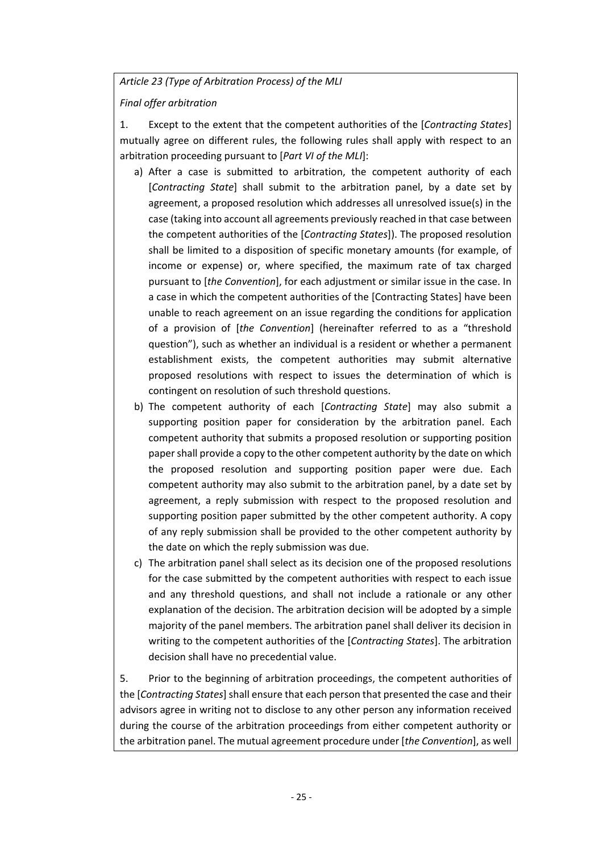# *Article 23 (Type of Arbitration Process) of the MLI*

*Final offer arbitration*

1. Except to the extent that the competent authorities of the [*Contracting States*] mutually agree on different rules, the following rules shall apply with respect to an arbitration proceeding pursuant to [*Part VI of the MLI*]:

- a) After a case is submitted to arbitration, the competent authority of each [*Contracting State*] shall submit to the arbitration panel, by a date set by agreement, a proposed resolution which addresses all unresolved issue(s) in the case (taking into account all agreements previously reached in that case between the competent authorities of the [*Contracting States*]). The proposed resolution shall be limited to a disposition of specific monetary amounts (for example, of income or expense) or, where specified, the maximum rate of tax charged pursuant to [*the Convention*], for each adjustment or similar issue in the case. In a case in which the competent authorities of the [Contracting States] have been unable to reach agreement on an issue regarding the conditions for application of a provision of [*the Convention*] (hereinafter referred to as a "threshold question"), such as whether an individual is a resident or whether a permanent establishment exists, the competent authorities may submit alternative proposed resolutions with respect to issues the determination of which is contingent on resolution of such threshold questions.
- b) The competent authority of each [*Contracting State*] may also submit a supporting position paper for consideration by the arbitration panel. Each competent authority that submits a proposed resolution or supporting position paper shall provide a copy to the other competent authority by the date on which the proposed resolution and supporting position paper were due. Each competent authority may also submit to the arbitration panel, by a date set by agreement, a reply submission with respect to the proposed resolution and supporting position paper submitted by the other competent authority. A copy of any reply submission shall be provided to the other competent authority by the date on which the reply submission was due.
- c) The arbitration panel shall select as its decision one of the proposed resolutions for the case submitted by the competent authorities with respect to each issue and any threshold questions, and shall not include a rationale or any other explanation of the decision. The arbitration decision will be adopted by a simple majority of the panel members. The arbitration panel shall deliver its decision in writing to the competent authorities of the [*Contracting States*]. The arbitration decision shall have no precedential value.

5. Prior to the beginning of arbitration proceedings, the competent authorities of the [*Contracting States*] shall ensure that each person that presented the case and their advisors agree in writing not to disclose to any other person any information received during the course of the arbitration proceedings from either competent authority or the arbitration panel. The mutual agreement procedure under [*the Convention*], as well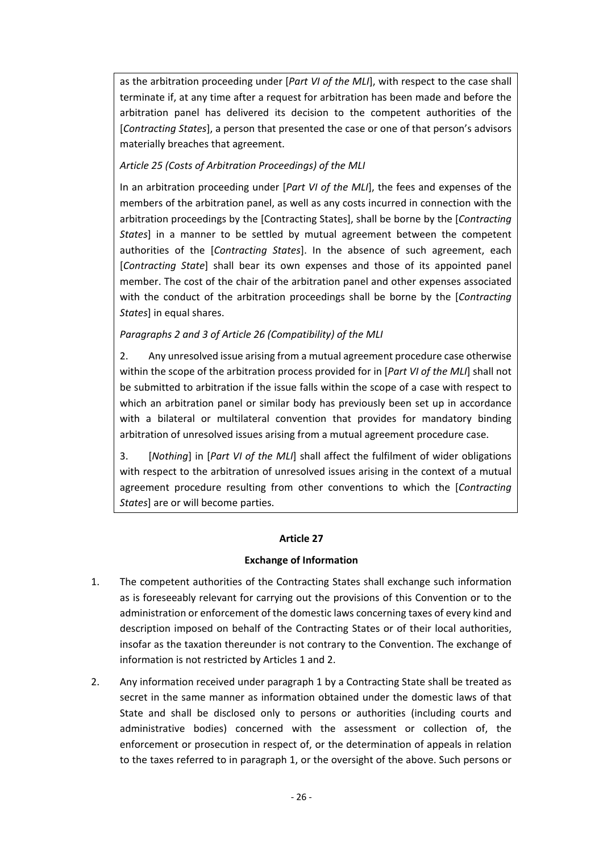as the arbitration proceeding under [*Part VI of the MLI*], with respect to the case shall terminate if, at any time after a request for arbitration has been made and before the arbitration panel has delivered its decision to the competent authorities of the [*Contracting States*], a person that presented the case or one of that person's advisors materially breaches that agreement.

# *Article 25 (Costs of Arbitration Proceedings) of the MLI*

In an arbitration proceeding under [*Part VI of the MLI*], the fees and expenses of the members of the arbitration panel, as well as any costs incurred in connection with the arbitration proceedings by the [Contracting States], shall be borne by the [*Contracting States*] in a manner to be settled by mutual agreement between the competent authorities of the [*Contracting States*]. In the absence of such agreement, each [*Contracting State*] shall bear its own expenses and those of its appointed panel member. The cost of the chair of the arbitration panel and other expenses associated with the conduct of the arbitration proceedings shall be borne by the [*Contracting States*] in equal shares.

# *Paragraphs 2 and 3 of Article 26 (Compatibility) of the MLI*

2. Any unresolved issue arising from a mutual agreement procedure case otherwise within the scope of the arbitration process provided for in [*Part VI of the MLI*] shall not be submitted to arbitration if the issue falls within the scope of a case with respect to which an arbitration panel or similar body has previously been set up in accordance with a bilateral or multilateral convention that provides for mandatory binding arbitration of unresolved issues arising from a mutual agreement procedure case.

3. [*Nothing*] in [*Part VI of the MLI*] shall affect the fulfilment of wider obligations with respect to the arbitration of unresolved issues arising in the context of a mutual agreement procedure resulting from other conventions to which the [*Contracting States*] are or will become parties.

#### **Article 27**

#### **Exchange of Information**

- 1. The competent authorities of the Contracting States shall exchange such information as is foreseeably relevant for carrying out the provisions of this Convention or to the administration or enforcement of the domestic laws concerning taxes of every kind and description imposed on behalf of the Contracting States or of their local authorities, insofar as the taxation thereunder is not contrary to the Convention. The exchange of information is not restricted by Articles 1 and 2.
- 2. Any information received under paragraph 1 by a Contracting State shall be treated as secret in the same manner as information obtained under the domestic laws of that State and shall be disclosed only to persons or authorities (including courts and administrative bodies) concerned with the assessment or collection of, the enforcement or prosecution in respect of, or the determination of appeals in relation to the taxes referred to in paragraph 1, or the oversight of the above. Such persons or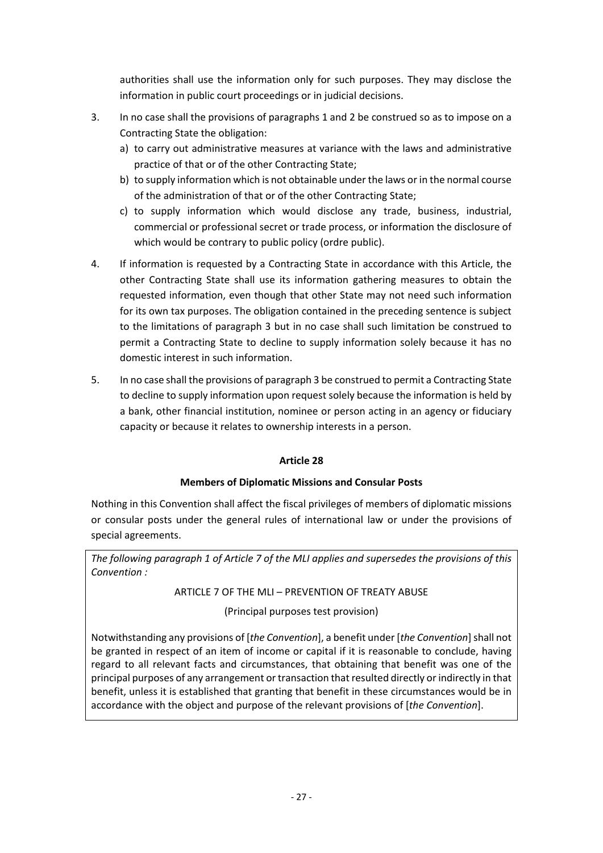authorities shall use the information only for such purposes. They may disclose the information in public court proceedings or in judicial decisions.

- 3. In no case shall the provisions of paragraphs 1 and 2 be construed so as to impose on a Contracting State the obligation:
	- a) to carry out administrative measures at variance with the laws and administrative practice of that or of the other Contracting State;
	- b) to supply information which is not obtainable under the laws or in the normal course of the administration of that or of the other Contracting State;
	- c) to supply information which would disclose any trade, business, industrial, commercial or professional secret or trade process, or information the disclosure of which would be contrary to public policy (ordre public).
- 4. If information is requested by a Contracting State in accordance with this Article, the other Contracting State shall use its information gathering measures to obtain the requested information, even though that other State may not need such information for its own tax purposes. The obligation contained in the preceding sentence is subject to the limitations of paragraph 3 but in no case shall such limitation be construed to permit a Contracting State to decline to supply information solely because it has no domestic interest in such information.
- 5. In no case shall the provisions of paragraph 3 be construed to permit a Contracting State to decline to supply information upon request solely because the information is held by a bank, other financial institution, nominee or person acting in an agency or fiduciary capacity or because it relates to ownership interests in a person.

# **Article 28**

# **Members of Diplomatic Missions and Consular Posts**

Nothing in this Convention shall affect the fiscal privileges of members of diplomatic missions or consular posts under the general rules of international law or under the provisions of special agreements.

*The following paragraph 1 of Article 7 of the MLI applies and supersedes the provisions of this Convention :*

# ARTICLE 7 OF THE MLI – PREVENTION OF TREATY ABUSE

# (Principal purposes test provision)

Notwithstanding any provisions of [*the Convention*], a benefit under [*the Convention*]shall not be granted in respect of an item of income or capital if it is reasonable to conclude, having regard to all relevant facts and circumstances, that obtaining that benefit was one of the principal purposes of any arrangement or transaction that resulted directly or indirectly in that benefit, unless it is established that granting that benefit in these circumstances would be in accordance with the object and purpose of the relevant provisions of [*the Convention*].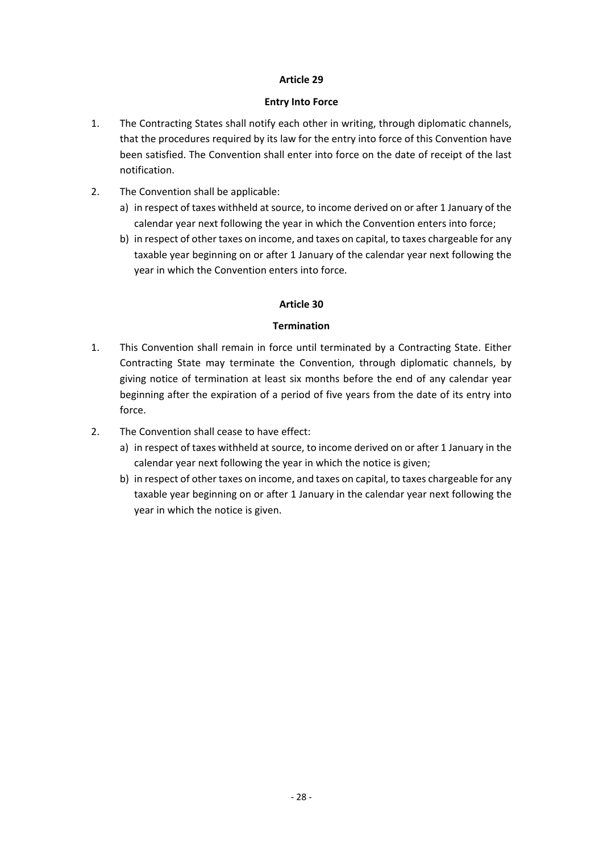### **Entry Into Force**

- 1. The Contracting States shall notify each other in writing, through diplomatic channels, that the procedures required by its law for the entry into force of this Convention have been satisfied. The Convention shall enter into force on the date of receipt of the last notification.
- 2. The Convention shall be applicable:
	- a) in respect of taxes withheld at source, to income derived on or after 1 January of the calendar year next following the year in which the Convention enters into force;
	- b) in respect of other taxes on income, and taxes on capital, to taxes chargeable for any taxable year beginning on or after 1 January of the calendar year next following the year in which the Convention enters into force.

# **Article 30**

# **Termination**

- 1. This Convention shall remain in force until terminated by a Contracting State. Either Contracting State may terminate the Convention, through diplomatic channels, by giving notice of termination at least six months before the end of any calendar year beginning after the expiration of a period of five years from the date of its entry into force.
- 2. The Convention shall cease to have effect:
	- a) in respect of taxes withheld at source, to income derived on or after 1 January in the calendar year next following the year in which the notice is given;
	- b) in respect of other taxes on income, and taxes on capital, to taxes chargeable for any taxable year beginning on or after 1 January in the calendar year next following the year in which the notice is given.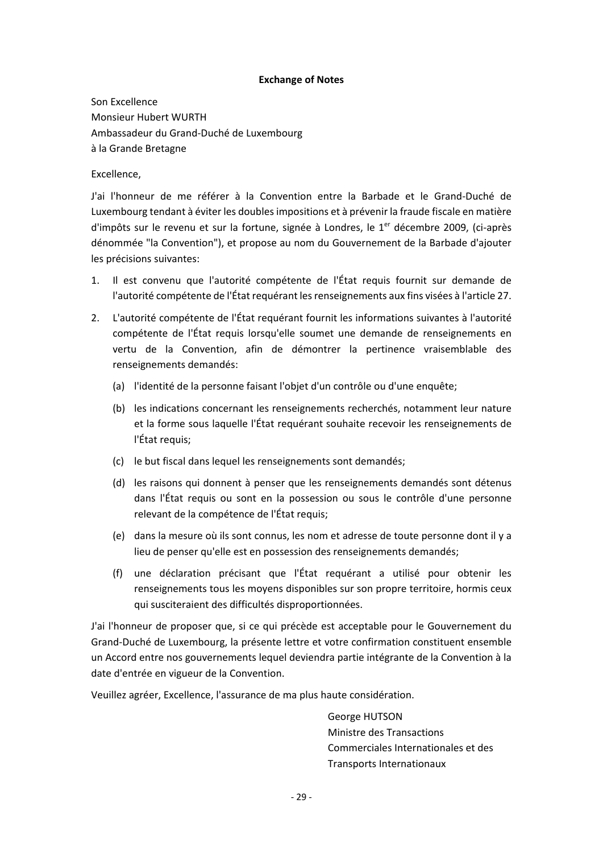### **Exchange of Notes**

Son Excellence Monsieur Hubert WURTH Ambassadeur du Grand-Duché de Luxembourg à la Grande Bretagne

Excellence,

J'ai l'honneur de me référer à la Convention entre la Barbade et le Grand-Duché de Luxembourg tendant à éviter les doubles impositions et à prévenir la fraude fiscale en matière d'impôts sur le revenu et sur la fortune, signée à Londres, le  $1<sup>er</sup>$  décembre 2009, (ci-après dénommée "la Convention"), et propose au nom du Gouvernement de la Barbade d'ajouter les précisions suivantes:

- 1. Il est convenu que l'autorité compétente de l'État requis fournit sur demande de l'autorité compétente de l'État requérant les renseignements aux fins visées à l'article 27.
- 2. L'autorité compétente de l'État requérant fournit les informations suivantes à l'autorité compétente de l'État requis lorsqu'elle soumet une demande de renseignements en vertu de la Convention, afin de démontrer la pertinence vraisemblable des renseignements demandés:
	- (a) l'identité de la personne faisant l'objet d'un contrôle ou d'une enquête;
	- (b) les indications concernant les renseignements recherchés, notamment leur nature et la forme sous laquelle l'État requérant souhaite recevoir les renseignements de l'État requis;
	- (c) le but fiscal dans lequel les renseignements sont demandés;
	- (d) les raisons qui donnent à penser que les renseignements demandés sont détenus dans l'État requis ou sont en la possession ou sous le contrôle d'une personne relevant de la compétence de l'État requis;
	- (e) dans la mesure où ils sont connus, les nom et adresse de toute personne dont il y a lieu de penser qu'elle est en possession des renseignements demandés;
	- (f) une déclaration précisant que l'État requérant a utilisé pour obtenir les renseignements tous les moyens disponibles sur son propre territoire, hormis ceux qui susciteraient des difficultés disproportionnées.

J'ai l'honneur de proposer que, si ce qui précède est acceptable pour le Gouvernement du Grand-Duché de Luxembourg, la présente lettre et votre confirmation constituent ensemble un Accord entre nos gouvernements lequel deviendra partie intégrante de la Convention à la date d'entrée en vigueur de la Convention.

Veuillez agréer, Excellence, l'assurance de ma plus haute considération.

George HUTSON Ministre des Transactions Commerciales Internationales et des Transports Internationaux